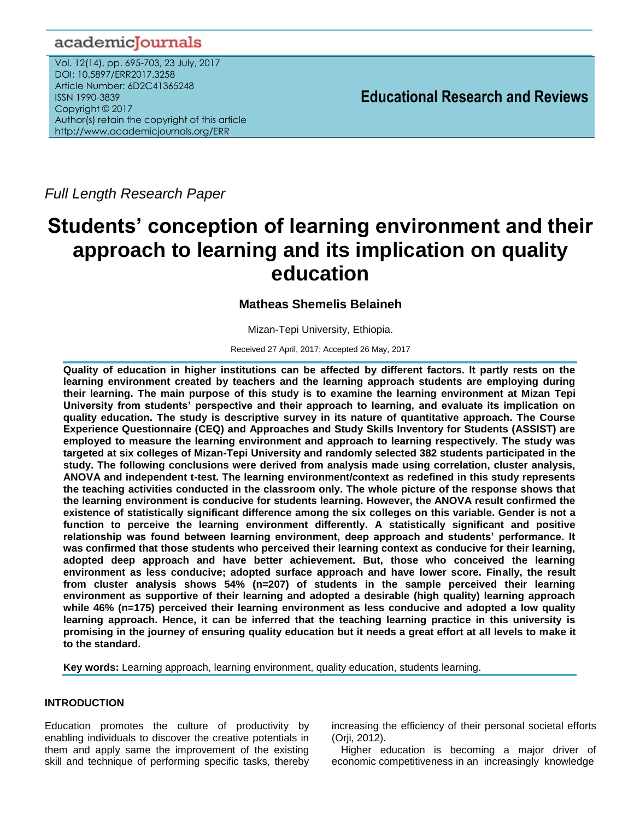# academicJournals

Vol. 12(14), pp. 695-703, 23 July, 2017 DOI: 10.5897/ERR2017.3258 Article Number: 6D2C41365248 ISSN 1990-3839 Copyright © 2017 Author(s) retain the copyright of this article http://www.academicjournals.org/ERR

**Educational Research and Reviews**

*Full Length Research Paper*

# **Students' conception of learning environment and their approach to learning and its implication on quality education**

# **Matheas Shemelis Belaineh**

Mizan-Tepi University, Ethiopia.

Received 27 April, 2017; Accepted 26 May, 2017

**Quality of education in higher institutions can be affected by different factors. It partly rests on the learning environment created by teachers and the learning approach students are employing during their learning. The main purpose of this study is to examine the learning environment at Mizan Tepi University from students' perspective and their approach to learning, and evaluate its implication on quality education. The study is descriptive survey in its nature of quantitative approach. The Course Experience Questionnaire (CEQ) and Approaches and Study Skills Inventory for Students (ASSIST) are employed to measure the learning environment and approach to learning respectively. The study was targeted at six colleges of Mizan-Tepi University and randomly selected 382 students participated in the study. The following conclusions were derived from analysis made using correlation, cluster analysis, ANOVA and independent t-test. The learning environment/context as redefined in this study represents the teaching activities conducted in the classroom only. The whole picture of the response shows that the learning environment is conducive for students learning. However, the ANOVA result confirmed the existence of statistically significant difference among the six colleges on this variable. Gender is not a function to perceive the learning environment differently. A statistically significant and positive relationship was found between learning environment, deep approach and students' performance. It was confirmed that those students who perceived their learning context as conducive for their learning, adopted deep approach and have better achievement. But, those who conceived the learning environment as less conducive; adopted surface approach and have lower score. Finally, the result from cluster analysis shows 54% (n=207) of students in the sample perceived their learning environment as supportive of their learning and adopted a desirable (high quality) learning approach while 46% (n=175) perceived their learning environment as less conducive and adopted a low quality learning approach. Hence, it can be inferred that the teaching learning practice in this university is promising in the journey of ensuring quality education but it needs a great effort at all levels to make it to the standard.**

**Key words:** Learning approach, learning environment, quality education, students learning.

# **INTRODUCTION**

Education promotes the culture of productivity by enabling individuals to discover the creative potentials in them and apply same the improvement of the existing skill and technique of performing specific tasks, thereby increasing the efficiency of their personal societal efforts (Orji, 2012).

Higher education is becoming a major driver of economic competitiveness in an increasingly knowledge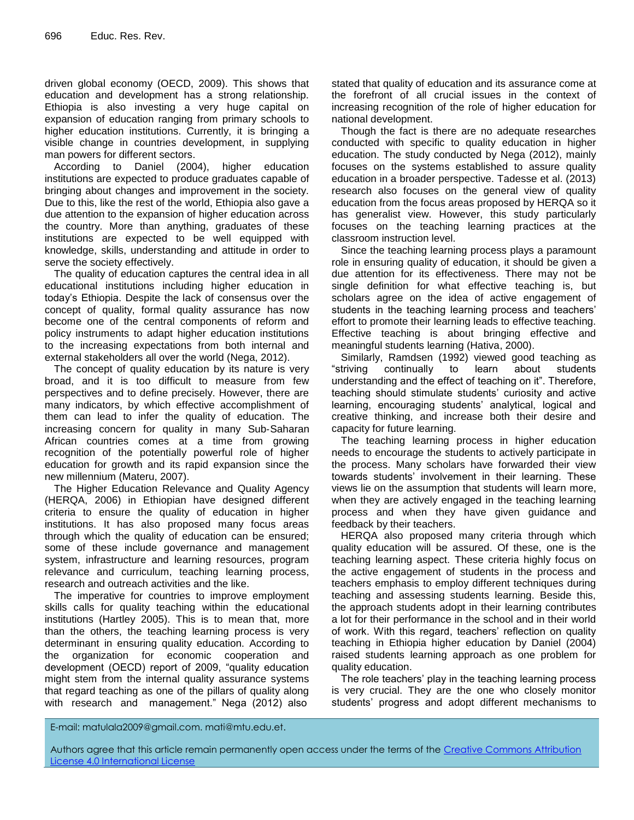driven global economy (OECD, 2009). This shows that education and development has a strong relationship. Ethiopia is also investing a very huge capital on expansion of education ranging from primary schools to higher education institutions. Currently, it is bringing a visible change in countries development, in supplying man powers for different sectors.

According to Daniel (2004), higher education institutions are expected to produce graduates capable of bringing about changes and improvement in the society. Due to this, like the rest of the world, Ethiopia also gave a due attention to the expansion of higher education across the country. More than anything, graduates of these institutions are expected to be well equipped with knowledge, skills, understanding and attitude in order to serve the society effectively.

The quality of education captures the central idea in all educational institutions including higher education in today's Ethiopia. Despite the lack of consensus over the concept of quality, formal quality assurance has now become one of the central components of reform and policy instruments to adapt higher education institutions to the increasing expectations from both internal and external stakeholders all over the world (Nega, 2012).

The concept of quality education by its nature is very broad, and it is too difficult to measure from few perspectives and to define precisely. However, there are many indicators, by which effective accomplishment of them can lead to infer the quality of education. The increasing concern for quality in many Sub‐Saharan African countries comes at a time from growing recognition of the potentially powerful role of higher education for growth and its rapid expansion since the new millennium (Materu, 2007).

The Higher Education Relevance and Quality Agency (HERQA, 2006) in Ethiopian have designed different criteria to ensure the quality of education in higher institutions. It has also proposed many focus areas through which the quality of education can be ensured; some of these include governance and management system, infrastructure and learning resources, program relevance and curriculum, teaching learning process, research and outreach activities and the like.

The imperative for countries to improve employment skills calls for quality teaching within the educational institutions (Hartley 2005). This is to mean that, more than the others, the teaching learning process is very determinant in ensuring quality education. According to the organization for economic cooperation and development (OECD) report of 2009, "quality education might stem from the internal quality assurance systems that regard teaching as one of the pillars of quality along with research and management." Nega (2012) also

stated that quality of education and its assurance come at the forefront of all crucial issues in the context of increasing recognition of the role of higher education for national development.

Though the fact is there are no adequate researches conducted with specific to quality education in higher education. The study conducted by Nega (2012), mainly focuses on the systems established to assure quality education in a broader perspective. Tadesse et al. (2013) research also focuses on the general view of quality education from the focus areas proposed by HERQA so it has generalist view. However, this study particularly focuses on the teaching learning practices at the classroom instruction level.

Since the teaching learning process plays a paramount role in ensuring quality of education, it should be given a due attention for its effectiveness. There may not be single definition for what effective teaching is, but scholars agree on the idea of active engagement of students in the teaching learning process and teachers' effort to promote their learning leads to effective teaching. Effective teaching is about bringing effective and meaningful students learning (Hativa, 2000).

Similarly, Ramdsen (1992) viewed good teaching as "striving continually to learn about students understanding and the effect of teaching on it". Therefore, teaching should stimulate students' curiosity and active learning, encouraging students' analytical, logical and creative thinking, and increase both their desire and capacity for future learning.

The teaching learning process in higher education needs to encourage the students to actively participate in the process. Many scholars have forwarded their view towards students' involvement in their learning. These views lie on the assumption that students will learn more, when they are actively engaged in the teaching learning process and when they have given guidance and feedback by their teachers.

HERQA also proposed many criteria through which quality education will be assured. Of these, one is the teaching learning aspect. These criteria highly focus on the active engagement of students in the process and teachers emphasis to employ different techniques during teaching and assessing students learning. Beside this, the approach students adopt in their learning contributes a lot for their performance in the school and in their world of work. With this regard, teachers' reflection on quality teaching in Ethiopia higher education by Daniel (2004) raised students learning approach as one problem for quality education.

The role teachers' play in the teaching learning process is very crucial. They are the one who closely monitor students' progress and adopt different mechanisms to

E-mail: matulala2009@gmail.com. mati@mtu.edu.et.

Authors agree that this article remain permanently open access under the terms of the Creative Commons Attribution [License 4.0 International License](file://192.168.1.24/reading/Arts%20and%20Education/ERR/2014/sept/read/Correction%20Pdf%201/ERR-17.04.14-1816/Publication/Creative%20Co)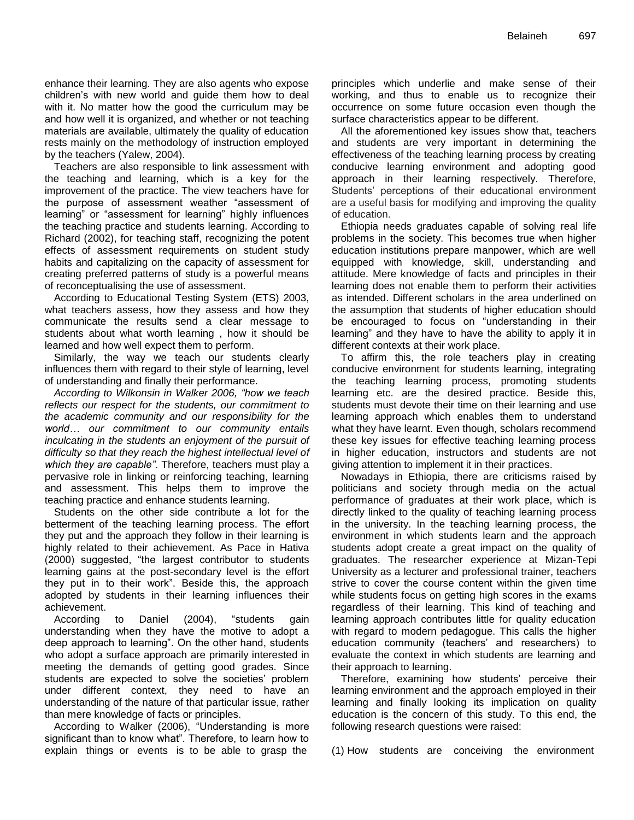enhance their learning. They are also agents who expose children's with new world and guide them how to deal with it. No matter how the good the curriculum may be and how well it is organized, and whether or not teaching materials are available, ultimately the quality of education rests mainly on the methodology of instruction employed by the teachers (Yalew, 2004).

Teachers are also responsible to link assessment with the teaching and learning, which is a key for the improvement of the practice. The view teachers have for the purpose of assessment weather "assessment of learning" or "assessment for learning" highly influences the teaching practice and students learning. According to Richard (2002), for teaching staff, recognizing the potent effects of assessment requirements on student study habits and capitalizing on the capacity of assessment for creating preferred patterns of study is a powerful means of reconceptualising the use of assessment.

According to Educational Testing System (ETS) 2003, what teachers assess, how they assess and how they communicate the results send a clear message to students about what worth learning , how it should be learned and how well expect them to perform.

Similarly, the way we teach our students clearly influences them with regard to their style of learning, level of understanding and finally their performance.

*According to Wilkonsin in Walker 2006, "how we teach reflects our respect for the students, our commitment to the academic community and our responsibility for the world… our commitment to our community entails inculcating in the students an enjoyment of the pursuit of difficulty so that they reach the highest intellectual level of which they are capable"*. Therefore, teachers must play a pervasive role in linking or reinforcing teaching, learning and assessment. This helps them to improve the teaching practice and enhance students learning.

Students on the other side contribute a lot for the betterment of the teaching learning process. The effort they put and the approach they follow in their learning is highly related to their achievement. As Pace in Hativa (2000) suggested, "the largest contributor to students learning gains at the post-secondary level is the effort they put in to their work". Beside this, the approach adopted by students in their learning influences their achievement.

According to Daniel (2004), "students gain understanding when they have the motive to adopt a deep approach to learning". On the other hand, students who adopt a surface approach are primarily interested in meeting the demands of getting good grades. Since students are expected to solve the societies' problem under different context, they need to have an understanding of the nature of that particular issue, rather than mere knowledge of facts or principles.

According to Walker (2006), "Understanding is more significant than to know what". Therefore, to learn how to explain things or events is to be able to grasp the principles which underlie and make sense of their working, and thus to enable us to recognize their occurrence on some future occasion even though the surface characteristics appear to be different.

All the aforementioned key issues show that, teachers and students are very important in determining the effectiveness of the teaching learning process by creating conducive learning environment and adopting good approach in their learning respectively. Therefore, Students' perceptions of their educational environment are a useful basis for modifying and improving the quality of education.

Ethiopia needs graduates capable of solving real life problems in the society. This becomes true when higher education institutions prepare manpower, which are well equipped with knowledge, skill, understanding and attitude. Mere knowledge of facts and principles in their learning does not enable them to perform their activities as intended. Different scholars in the area underlined on the assumption that students of higher education should be encouraged to focus on "understanding in their learning" and they have to have the ability to apply it in different contexts at their work place.

To affirm this, the role teachers play in creating conducive environment for students learning, integrating the teaching learning process, promoting students learning etc. are the desired practice. Beside this, students must devote their time on their learning and use learning approach which enables them to understand what they have learnt. Even though, scholars recommend these key issues for effective teaching learning process in higher education, instructors and students are not giving attention to implement it in their practices.

Nowadays in Ethiopia, there are criticisms raised by politicians and society through media on the actual performance of graduates at their work place, which is directly linked to the quality of teaching learning process in the university. In the teaching learning process, the environment in which students learn and the approach students adopt create a great impact on the quality of graduates. The researcher experience at Mizan-Tepi University as a lecturer and professional trainer, teachers strive to cover the course content within the given time while students focus on getting high scores in the exams regardless of their learning. This kind of teaching and learning approach contributes little for quality education with regard to modern pedagogue. This calls the higher education community (teachers' and researchers) to evaluate the context in which students are learning and their approach to learning.

Therefore, examining how students' perceive their learning environment and the approach employed in their learning and finally looking its implication on quality education is the concern of this study. To this end, the following research questions were raised:

(1) How students are conceiving the environment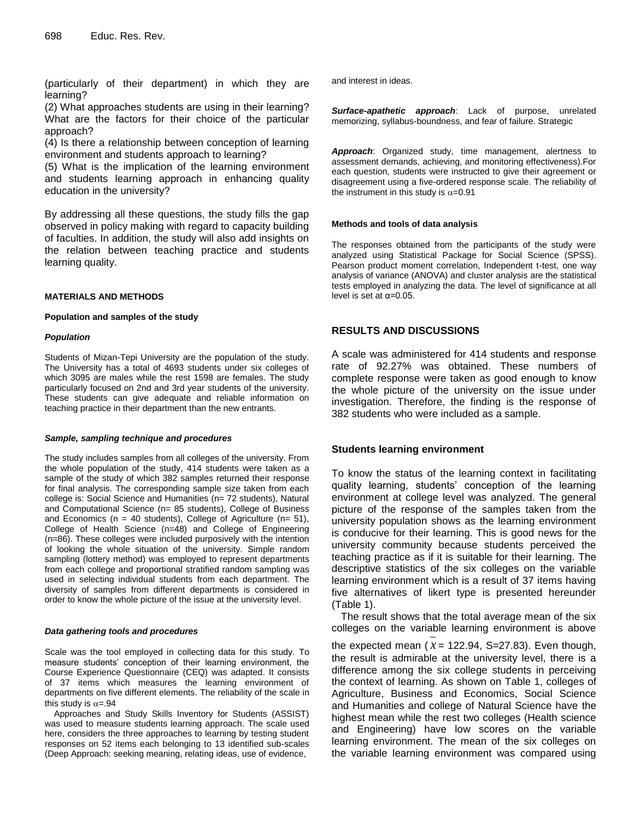(particularly of their department) in which they are learning?

(2) What approaches students are using in their learning? What are the factors for their choice of the particular approach?

(4) Is there a relationship between conception of learning environment and students approach to learning?

(5) What is the implication of the learning environment and students learning approach in enhancing quality education in the university?

By addressing all these questions, the study fills the gap observed in policy making with regard to capacity building of faculties. In addition, the study will also add insights on the relation between teaching practice and students learning quality.

#### **MATERIALS AND METHODS**

#### **Population and samples of the study**

#### *Population*

Students of Mizan-Tepi University are the population of the study. The University has a total of 4693 students under six colleges of which 3095 are males while the rest 1598 are females. The study particularly focused on 2nd and 3rd year students of the university. These students can give adequate and reliable information on teaching practice in their department than the new entrants.

#### *Sample, sampling technique and procedures*

The study includes samples from all colleges of the university. From the whole population of the study, 414 students were taken as a sample of the study of which 382 samples returned their response for final analysis. The corresponding sample size taken from each college is: Social Science and Humanities (n= 72 students), Natural and Computational Science (n= 85 students), College of Business and Economics ( $n = 40$  students), College of Agriculture ( $n= 51$ ), College of Health Science (n=48) and College of Engineering (n=86). These colleges were included purposively with the intention of looking the whole situation of the university. Simple random sampling (lottery method) was employed to represent departments from each college and proportional stratified random sampling was used in selecting individual students from each department. The diversity of samples from different departments is considered in order to know the whole picture of the issue at the university level.

#### *Data gathering tools and procedures*

Scale was the tool employed in collecting data for this study. To measure students' conception of their learning environment, the Course Experience Questionnaire (CEQ) was adapted. It consists of 37 items which measures the learning environment of departments on five different elements. The reliability of the scale in this study is  $\alpha = .94$ 

Approaches and Study Skills Inventory for Students (ASSIST) was used to measure students learning approach. The scale used here, considers the three approaches to learning by testing student responses on 52 items each belonging to 13 identified sub-scales (Deep Approach: seeking meaning, relating ideas, use of evidence,

and interest in ideas.

*Surface-apathetic approach*: Lack of purpose, unrelated memorizing, syllabus-boundness, and fear of failure. Strategic

*Approach*: Organized study, time management, alertness to assessment demands, achieving, and monitoring effectiveness).For each question, students were instructed to give their agreement or disagreement using a five-ordered response scale. The reliability of the instrument in this study is  $\alpha$ =0.91

#### **Methods and tools of data analysis**

The responses obtained from the participants of the study were analyzed using Statistical Package for Social Science (SPSS). Pearson product moment correlation, Independent t-test, one way analysis of variance (ANOVA) and cluster analysis are the statistical tests employed in analyzing the data. The level of significance at all level is set at  $\alpha$ =0.05.

#### **RESULTS AND DISCUSSIONS**

A scale was administered for 414 students and response rate of 92.27% was obtained. These numbers of complete response were taken as good enough to know the whole picture of the university on the issue under investigation. Therefore, the finding is the response of 382 students who were included as a sample.

#### **Students learning environment**

To know the status of the learning context in facilitating quality learning, students' conception of the learning environment at college level was analyzed. The general picture of the response of the samples taken from the university population shows as the learning environment is conducive for their learning. This is good news for the university community because students perceived the teaching practice as if it is suitable for their learning. The descriptive statistics of the six colleges on the variable learning environment which is a result of 37 items having five alternatives of likert type is presented hereunder (Table 1).

The result shows that the total average mean of the six colleges on the variable learning environment is above

the expected mean  $(x = 122.94, S=27.83)$ . Even though, the result is admirable at the university level, there is a difference among the six college students in perceiving the context of learning. As shown on Table 1, colleges of Agriculture, Business and Economics, Social Science and Humanities and college of Natural Science have the highest mean while the rest two colleges (Health science and Engineering) have low scores on the variable learning environment. The mean of the six colleges on the variable learning environment was compared using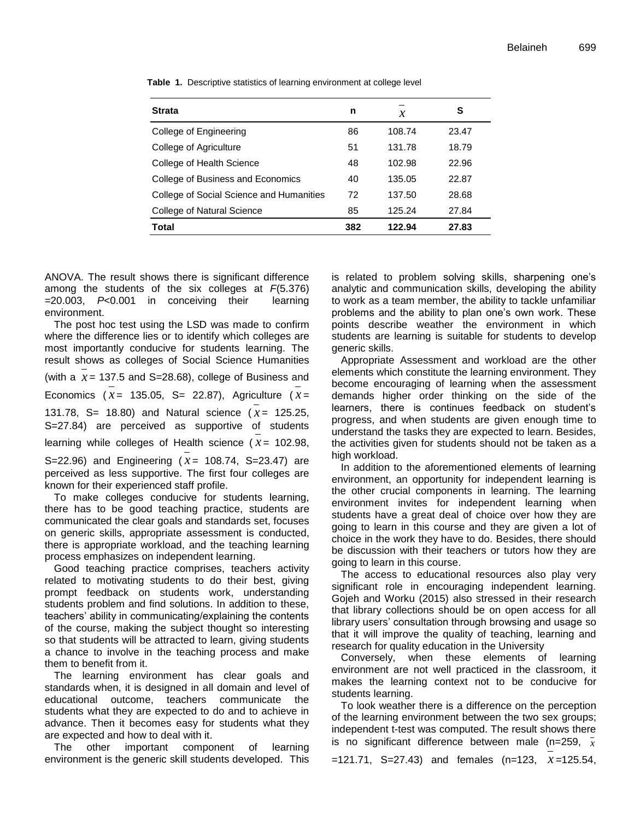| <b>Strata</b>                            | n   | $\boldsymbol{\mathcal{X}}$ | S     |
|------------------------------------------|-----|----------------------------|-------|
| College of Engineering                   | 86  | 108.74                     | 23.47 |
| College of Agriculture                   | 51  | 131.78                     | 18.79 |
| College of Health Science                | 48  | 102.98                     | 22.96 |
| College of Business and Economics        | 40  | 135.05                     | 22.87 |
| College of Social Science and Humanities | 72  | 137.50                     | 28.68 |
| College of Natural Science               | 85  | 125.24                     | 27.84 |
| Total                                    | 382 | 122.94                     | 27.83 |

**Table 1.** Descriptive statistics of learning environment at college level

ANOVA. The result shows there is significant difference among the students of the six colleges at *F*(5.376) =20.003, *P*<0.001 in conceiving their learning environment.

The post hoc test using the LSD was made to confirm where the difference lies or to identify which colleges are most importantly conducive for students learning. The result shows as colleges of Social Science Humanities (with a  $x = 137.5$  and S=28.68), college of Business and Economics ( $x = 135.05$ , S= 22.87), Agriculture ( $x =$ 131.78, S= 18.80) and Natural science  $(x = 125.25,$ S=27.84) are perceived as supportive of students learning while colleges of Health science  $(x = 102.98,$ S=22.96) and Engineering  $(x = 108.74, S=23.47)$  are perceived as less supportive. The first four colleges are known for their experienced staff profile.

To make colleges conducive for students learning, there has to be good teaching practice, students are communicated the clear goals and standards set, focuses on generic skills, appropriate assessment is conducted, there is appropriate workload, and the teaching learning process emphasizes on independent learning.

Good teaching practice comprises, teachers activity related to motivating students to do their best, giving prompt feedback on students work, understanding students problem and find solutions. In addition to these, teachers' ability in communicating/explaining the contents of the course, making the subject thought so interesting so that students will be attracted to learn, giving students a chance to involve in the teaching process and make them to benefit from it.

The learning environment has clear goals and standards when, it is designed in all domain and level of educational outcome, teachers communicate the students what they are expected to do and to achieve in advance. Then it becomes easy for students what they are expected and how to deal with it.

The other important component of learning environment is the generic skill students developed. This is related to problem solving skills, sharpening one's analytic and communication skills, developing the ability to work as a team member, the ability to tackle unfamiliar problems and the ability to plan one's own work. These points describe weather the environment in which students are learning is suitable for students to develop generic skills.

Appropriate Assessment and workload are the other elements which constitute the learning environment. They become encouraging of learning when the assessment demands higher order thinking on the side of the learners, there is continues feedback on student's progress, and when students are given enough time to understand the tasks they are expected to learn. Besides, the activities given for students should not be taken as a high workload.

In addition to the aforementioned elements of learning environment, an opportunity for independent learning is the other crucial components in learning. The learning environment invites for independent learning when students have a great deal of choice over how they are going to learn in this course and they are given a lot of choice in the work they have to do. Besides, there should be discussion with their teachers or tutors how they are going to learn in this course.

The access to educational resources also play very significant role in encouraging independent learning. Gojeh and Worku (2015) also stressed in their research that library collections should be on open access for all library users' consultation through browsing and usage so that it will improve the quality of teaching, learning and research for quality education in the University

Conversely, when these elements of learning environment are not well practiced in the classroom, it makes the learning context not to be conducive for students learning.

To look weather there is a difference on the perception of the learning environment between the two sex groups; independent t-test was computed. The result shows there is no significant difference between male (n=259, *x*

=121.71, S=27.43) and females (n=123, *x* =125.54,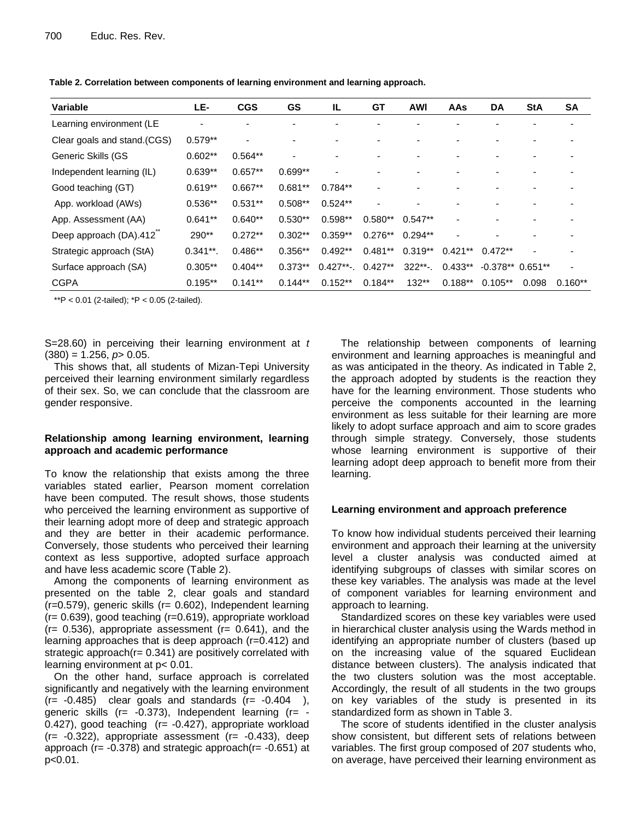| Variable                     | LE-         | <b>CGS</b>     | GS        | IL.          | GT        | <b>AWI</b> | AAs       | DA                | <b>StA</b> | <b>SA</b> |
|------------------------------|-------------|----------------|-----------|--------------|-----------|------------|-----------|-------------------|------------|-----------|
| Learning environment (LE     |             |                |           |              |           |            |           |                   |            |           |
| Clear goals and stand. (CGS) | $0.579**$   | $\blacksquare$ |           |              |           |            |           |                   |            |           |
| Generic Skills (GS           | $0.602**$   | $0.564**$      |           |              |           |            |           |                   |            |           |
| Independent learning (IL)    | $0.639**$   | $0.657**$      | $0.699**$ |              |           |            |           |                   |            |           |
| Good teaching (GT)           | $0.619**$   | $0.667**$      | $0.681**$ | $0.784**$    |           |            |           |                   |            |           |
| App. workload (AWs)          | $0.536**$   | $0.531**$      | $0.508**$ | $0.524**$    |           |            |           |                   |            |           |
| App. Assessment (AA)         | $0.641**$   | $0.640**$      | $0.530**$ | $0.598**$    | $0.580**$ | $0.547**$  |           |                   |            |           |
| Deep approach (DA).412       | $290**$     | $0.272**$      | $0.302**$ | $0.359**$    | $0.276**$ | $0.294**$  |           |                   |            |           |
| Strategic approach (StA)     | $0.341**$ . | $0.486**$      | $0.356**$ | $0.492**$    | $0.481**$ | $0.319**$  | $0.421**$ | $0.472**$         |            |           |
| Surface approach (SA)        | $0.305**$   | $0.404**$      | $0.373**$ | $0.427**$ -. | $0.427**$ | $322**$ -. | $0.433**$ | $-0.378**0.651**$ |            |           |
| <b>CGPA</b>                  | $0.195**$   | $0.141**$      | $0.144**$ | $0.152**$    | $0.184**$ | $132**$    | $0.188**$ | $0.105**$         | 0.098      | $0.160**$ |

**Table 2. Correlation between components of learning environment and learning approach.**

\*\*P <  $0.01$  (2-tailed);  $*P < 0.05$  (2-tailed).

S=28.60) in perceiving their learning environment at *t*  $(380) = 1.256$ ,  $p > 0.05$ .

This shows that, all students of Mizan-Tepi University perceived their learning environment similarly regardless of their sex. So, we can conclude that the classroom are gender responsive.

### **Relationship among learning environment, learning approach and academic performance**

To know the relationship that exists among the three variables stated earlier, Pearson moment correlation have been computed. The result shows, those students who perceived the learning environment as supportive of their learning adopt more of deep and strategic approach and they are better in their academic performance. Conversely, those students who perceived their learning context as less supportive, adopted surface approach and have less academic score (Table 2).

Among the components of learning environment as presented on the table 2, clear goals and standard (r=0.579), generic skills (r= 0.602), Independent learning (r= 0.639), good teaching (r=0.619), appropriate workload  $(r= 0.536)$ , appropriate assessment  $(r= 0.641)$ , and the learning approaches that is deep approach (r=0.412) and strategic approach( $r = 0.341$ ) are positively correlated with learning environment at p< 0.01.

On the other hand, surface approach is correlated significantly and negatively with the learning environment  $(r= -0.485)$  clear goals and standards  $(r= -0.404)$ , generic skills ( $r = -0.373$ ), Independent learning ( $r = -0.373$ ) 0.427), good teaching  $(r = -0.427)$ , appropriate workload  $(r=-0.322)$ , appropriate assessment  $(r=-0.433)$ , deep approach ( $r = -0.378$ ) and strategic approach( $r = -0.651$ ) at p<0.01.

The relationship between components of learning environment and learning approaches is meaningful and as was anticipated in the theory. As indicated in Table 2, the approach adopted by students is the reaction they have for the learning environment. Those students who perceive the components accounted in the learning environment as less suitable for their learning are more likely to adopt surface approach and aim to score grades through simple strategy. Conversely, those students whose learning environment is supportive of their learning adopt deep approach to benefit more from their learning.

# **Learning environment and approach preference**

To know how individual students perceived their learning environment and approach their learning at the university level a cluster analysis was conducted aimed at identifying subgroups of classes with similar scores on these key variables. The analysis was made at the level of component variables for learning environment and approach to learning.

Standardized scores on these key variables were used in hierarchical cluster analysis using the Wards method in identifying an appropriate number of clusters (based up on the increasing value of the squared Euclidean distance between clusters). The analysis indicated that the two clusters solution was the most acceptable. Accordingly, the result of all students in the two groups on key variables of the study is presented in its standardized form as shown in Table 3.

The score of students identified in the cluster analysis show consistent, but different sets of relations between variables. The first group composed of 207 students who, on average, have perceived their learning environment as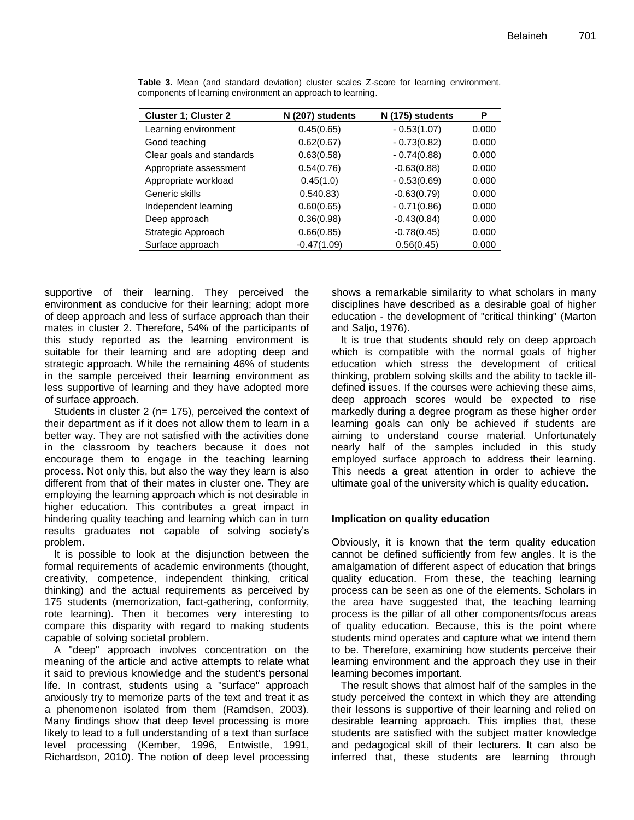| <b>Cluster 1; Cluster 2</b> | N (207) students | N (175) students | P     |
|-----------------------------|------------------|------------------|-------|
| Learning environment        | 0.45(0.65)       | $-0.53(1.07)$    | 0.000 |
| Good teaching               | 0.62(0.67)       | $-0.73(0.82)$    | 0.000 |
| Clear goals and standards   | 0.63(0.58)       | $-0.74(0.88)$    | 0.000 |
| Appropriate assessment      | 0.54(0.76)       | $-0.63(0.88)$    | 0.000 |
| Appropriate workload        | 0.45(1.0)        | $-0.53(0.69)$    | 0.000 |
| Generic skills              | 0.540.83)        | $-0.63(0.79)$    | 0.000 |
| Independent learning        | 0.60(0.65)       | $-0.71(0.86)$    | 0.000 |
| Deep approach               | 0.36(0.98)       | $-0.43(0.84)$    | 0.000 |
| Strategic Approach          | 0.66(0.85)       | $-0.78(0.45)$    | 0.000 |
| Surface approach            | $-0.47(1.09)$    | 0.56(0.45)       | 0.000 |

**Table 3.** Mean (and standard deviation) cluster scales Z-score for learning environment, components of learning environment an approach to learning.

supportive of their learning. They perceived the environment as conducive for their learning; adopt more of deep approach and less of surface approach than their mates in cluster 2. Therefore, 54% of the participants of this study reported as the learning environment is suitable for their learning and are adopting deep and strategic approach. While the remaining 46% of students in the sample perceived their learning environment as less supportive of learning and they have adopted more of surface approach.

Students in cluster 2 (n= 175), perceived the context of their department as if it does not allow them to learn in a better way. They are not satisfied with the activities done in the classroom by teachers because it does not encourage them to engage in the teaching learning process. Not only this, but also the way they learn is also different from that of their mates in cluster one. They are employing the learning approach which is not desirable in higher education. This contributes a great impact in hindering quality teaching and learning which can in turn results graduates not capable of solving society's problem.

It is possible to look at the disjunction between the formal requirements of academic environments (thought, creativity, competence, independent thinking, critical thinking) and the actual requirements as perceived by 175 students (memorization, fact-gathering, conformity, rote learning). Then it becomes very interesting to compare this disparity with regard to making students capable of solving societal problem.

A "deep" approach involves concentration on the meaning of the article and active attempts to relate what it said to previous knowledge and the student's personal life. In contrast, students using a "surface" approach anxiously try to memorize parts of the text and treat it as a phenomenon isolated from them (Ramdsen, 2003). Many findings show that deep level processing is more likely to lead to a full understanding of a text than surface level processing (Kember, 1996, Entwistle, 1991, Richardson, 2010). The notion of deep level processing shows a remarkable similarity to what scholars in many disciplines have described as a desirable goal of higher education - the development of "critical thinking" (Marton and Saljo, 1976).

It is true that students should rely on deep approach which is compatible with the normal goals of higher education which stress the development of critical thinking, problem solving skills and the ability to tackle illdefined issues. If the courses were achieving these aims, deep approach scores would be expected to rise markedly during a degree program as these higher order learning goals can only be achieved if students are aiming to understand course material. Unfortunately nearly half of the samples included in this study employed surface approach to address their learning. This needs a great attention in order to achieve the ultimate goal of the university which is quality education.

# **Implication on quality education**

Obviously, it is known that the term quality education cannot be defined sufficiently from few angles. It is the amalgamation of different aspect of education that brings quality education. From these, the teaching learning process can be seen as one of the elements. Scholars in the area have suggested that, the teaching learning process is the pillar of all other components/focus areas of quality education. Because, this is the point where students mind operates and capture what we intend them to be. Therefore, examining how students perceive their learning environment and the approach they use in their learning becomes important.

The result shows that almost half of the samples in the study perceived the context in which they are attending their lessons is supportive of their learning and relied on desirable learning approach. This implies that, these students are satisfied with the subject matter knowledge and pedagogical skill of their lecturers. It can also be inferred that, these students are learning through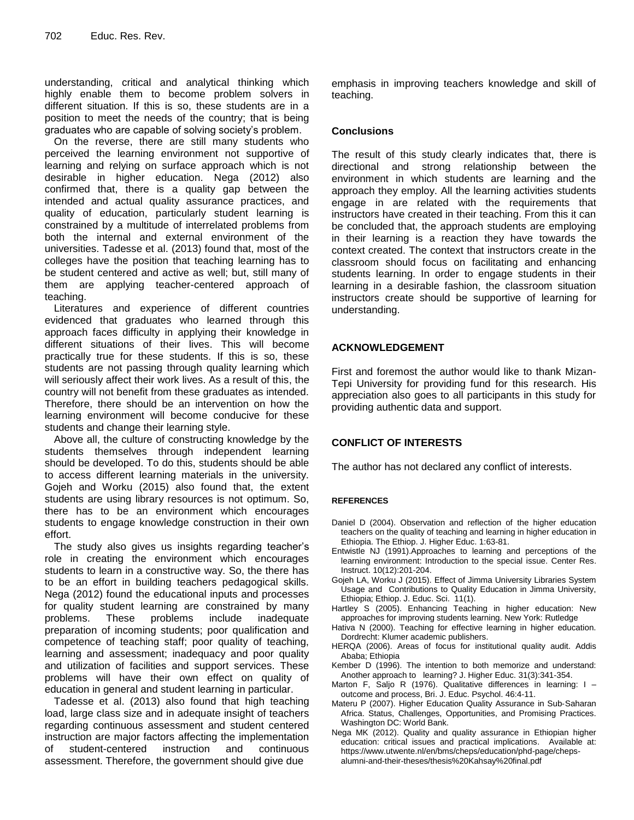understanding, critical and analytical thinking which highly enable them to become problem solvers in different situation. If this is so, these students are in a position to meet the needs of the country; that is being graduates who are capable of solving society's problem.

On the reverse, there are still many students who perceived the learning environment not supportive of learning and relying on surface approach which is not desirable in higher education. Nega (2012) also confirmed that, there is a quality gap between the intended and actual quality assurance practices, and quality of education, particularly student learning is constrained by a multitude of interrelated problems from both the internal and external environment of the universities. Tadesse et al. (2013) found that, most of the colleges have the position that teaching learning has to be student centered and active as well; but, still many of them are applying teacher-centered approach of teaching.

Literatures and experience of different countries evidenced that graduates who learned through this approach faces difficulty in applying their knowledge in different situations of their lives. This will become practically true for these students. If this is so, these students are not passing through quality learning which will seriously affect their work lives. As a result of this, the country will not benefit from these graduates as intended. Therefore, there should be an intervention on how the learning environment will become conducive for these students and change their learning style.

Above all, the culture of constructing knowledge by the students themselves through independent learning should be developed. To do this, students should be able to access different learning materials in the university. Gojeh and Worku (2015) also found that, the extent students are using library resources is not optimum. So, there has to be an environment which encourages students to engage knowledge construction in their own effort.

The study also gives us insights regarding teacher's role in creating the environment which encourages students to learn in a constructive way. So, the there has to be an effort in building teachers pedagogical skills. Nega (2012) found the educational inputs and processes for quality student learning are constrained by many problems. These problems include inadequate preparation of incoming students; poor qualification and competence of teaching staff; poor quality of teaching, learning and assessment; inadequacy and poor quality and utilization of facilities and support services. These problems will have their own effect on quality of education in general and student learning in particular.

Tadesse et al. (2013) also found that high teaching load, large class size and in adequate insight of teachers regarding continuous assessment and student centered instruction are major factors affecting the implementation of student-centered instruction and continuous assessment. Therefore, the government should give due

emphasis in improving teachers knowledge and skill of teaching.

# **Conclusions**

The result of this study clearly indicates that, there is directional and strong relationship between the environment in which students are learning and the approach they employ. All the learning activities students engage in are related with the requirements that instructors have created in their teaching. From this it can be concluded that, the approach students are employing in their learning is a reaction they have towards the context created. The context that instructors create in the classroom should focus on facilitating and enhancing students learning. In order to engage students in their learning in a desirable fashion, the classroom situation instructors create should be supportive of learning for understanding.

# **ACKNOWLEDGEMENT**

First and foremost the author would like to thank Mizan-Tepi University for providing fund for this research. His appreciation also goes to all participants in this study for providing authentic data and support.

# **CONFLICT OF INTERESTS**

The author has not declared any conflict of interests.

#### **REFERENCES**

- Daniel D (2004). Observation and reflection of the higher education teachers on the quality of teaching and learning in higher education in Ethiopia. The Ethiop. J. Higher Educ. 1:63-81.
- Entwistle NJ (1991).Approaches to learning and perceptions of the learning environment: Introduction to the special issue. Center Res. Instruct. 10(12):201-204.
- Gojeh LA, Worku J (2015). Effect of Jimma University Libraries System Usage and Contributions to Quality Education in Jimma University, Ethiopia; Ethiop. J. Educ. Sci. 11(1).
- Hartley S (2005). Enhancing Teaching in higher education: New approaches for improving students learning. New York: Rutledge
- Hativa N (2000). Teaching for effective learning in higher education. Dordrecht: Klumer academic publishers.
- HERQA (2006). Areas of focus for institutional quality audit. Addis Ababa; Ethiopia
- Kember D (1996). The intention to both memorize and understand: Another approach to learning? J. Higher Educ. 31(3):341-354.
- Marton F, Saljo R (1976). Qualitative differences in learning: I outcome and process, Bri. J. Educ. Psychol. 46:4-11.
- Materu P (2007). Higher Education Quality Assurance in Sub‐Saharan Africa. Status, Challenges, Opportunities, and Promising Practices. Washington DC: World Bank.
- Nega MK (2012). Quality and quality assurance in Ethiopian higher education: critical issues and practical implications. Available at: https://www.utwente.nl/en/bms/cheps/education/phd-page/chepsalumni-and-their-theses/thesis%20Kahsay%20final.pdf